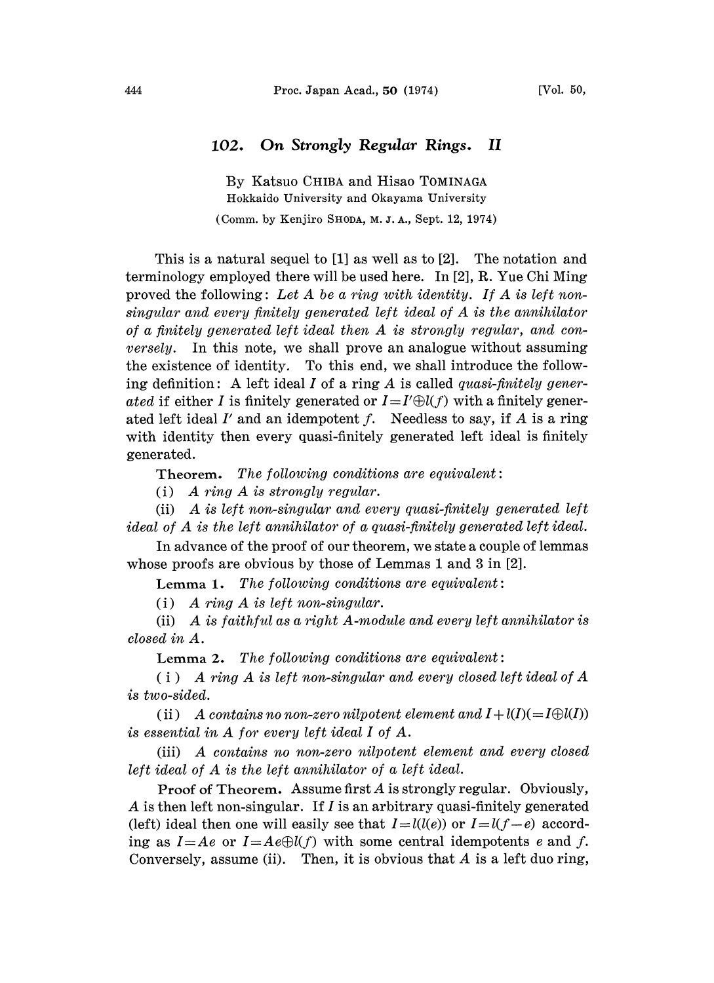## 102. On Strongly Regular Rings. II

By Katsuo CHIBA and Hisao TOMINAGA Hokkaido University and Okayama University (Comm. by Kenjiro SHODA, M. J. A., Sept. 12, 1974)

This is a natural sequel to [1] as well as to [2]. The notation and terminology employed there will be used here. In [2], R. Yue Chi Ming proved the following: Let A be a ring with identity. If A is left nonsingular and every finitely generated left ideal of A is the annihilator of <sup>a</sup> finitely generated left ideal then A is strongly regular, and conversely. In this note, we shall prove an analogue without assuming the existence of identity. To this end, we shall introduce the following definition: A left ideal I of a ring A is called *quasi-finitely gener*ated if either I is finitely generated or  $I=I'\oplus l(f)$  with a finitely generated left ideal  $I'$  and an idempotent  $f$ . Needless to say, if  $A$  is a ring with identity then every quasi-finitely generated left ideal is finitely generated.

Theorem. The following conditions are equivalent:

(i) A ring A is strongly regular.

(ii) A is left non-singular and every quasi-finitely generated left ideal of A is the left annihilator of <sup>a</sup> quasi-finitely generated left ideal.

In advance of the proof of our theorem, we state a couple of lemmas whose proofs are obvious by those of Lemmas <sup>1</sup> and 3 in [2].

**Lemma 1.** The following conditions are equivalent:

(i) A ring A is left non-singular.

(ii) A is faithful as <sup>a</sup> right A-module and every left annihilator is closed in A.

Lemma 2. The following conditions are equivalent:

 $(i)$  A ring A is left non-singular and every closed left ideal of A is two-sided.

(ii) A contains no non-zero nilpotent element and  $I + l(I) (= I \oplus l(I))$ is essential in A for every left ideal <sup>I</sup> of A.

(iii) A contains no non-zero nilpotent element and every closed left ideal of A is the left annihilator of <sup>a</sup> left ideal.

Proof of Theorem. Assume first  $A$  is strongly regular. Obviously, A is then left non-singular. If  $I$  is an arbitrary quasi-finitely generated (left) ideal then one will easily see that  $I = l(l(e))$  or  $I = l(f-e)$  according as  $I=Ae$  or  $I=Ae\bigoplus l(f)$  with some central idempotents e and f. Conversely, assume (ii). Then, it is obvious that  $A$  is a left duo ring,